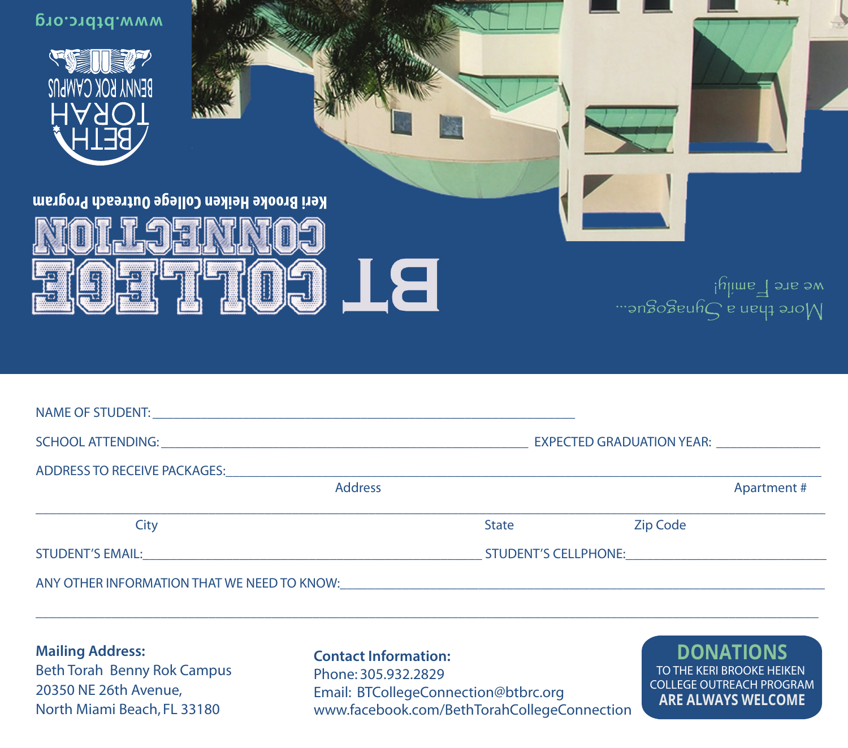| <b><i>MMW.btbrc.org</i></b><br>BENNA KOK CYWLN2<br><b>TORAH</b><br><b>Keri Brooke Heiken College Outreach Program</b> | <u>II</u> E    |                             |          | we are $\overline{\Box}$ and y!<br>Wore than a Synagogue |
|-----------------------------------------------------------------------------------------------------------------------|----------------|-----------------------------|----------|----------------------------------------------------------|
|                                                                                                                       |                |                             |          |                                                          |
|                                                                                                                       |                |                             |          |                                                          |
| ADDRESS TO RECEIVE PACKAGES: ________________                                                                         |                |                             |          |                                                          |
|                                                                                                                       | <b>Address</b> |                             |          | <b>Apartment#</b>                                        |
| City                                                                                                                  |                | <b>State</b>                | Zip Code |                                                          |
| <b>STUDENT'S EMAIL:</b>                                                                                               |                | <b>STUDENT'S CELLPHONE:</b> |          |                                                          |

ANY OTHER INFORMATION THAT WE NEED TO KNOW:

**Mailing Address:**  Beth Torah Benny Rok Campus 20350 NE 26th Avenue, North Miami Beach, FL 33180

**Contact Information:**  Phone: 305.932.2829 Email: BTCollegeConnection@btbrc.org www.facebook.com/BethTorahCollegeConnection

\_\_\_\_\_\_\_\_\_\_\_\_\_\_\_\_\_\_\_\_\_\_\_\_\_\_\_\_\_\_\_\_\_\_\_\_\_\_\_\_\_\_\_\_\_\_\_\_\_\_\_\_\_\_\_\_\_\_\_\_\_\_\_\_\_\_\_\_\_\_\_\_\_\_\_\_\_\_\_\_\_\_\_\_\_\_\_\_\_\_\_\_\_\_\_\_\_\_\_\_\_\_\_\_\_\_\_\_\_\_\_\_\_

**DONATIONS** TO THE KERI BROOKE HEIKEN COLLEGE OUTREACH PROGRAM **ARE ALWAYS WELCOME**